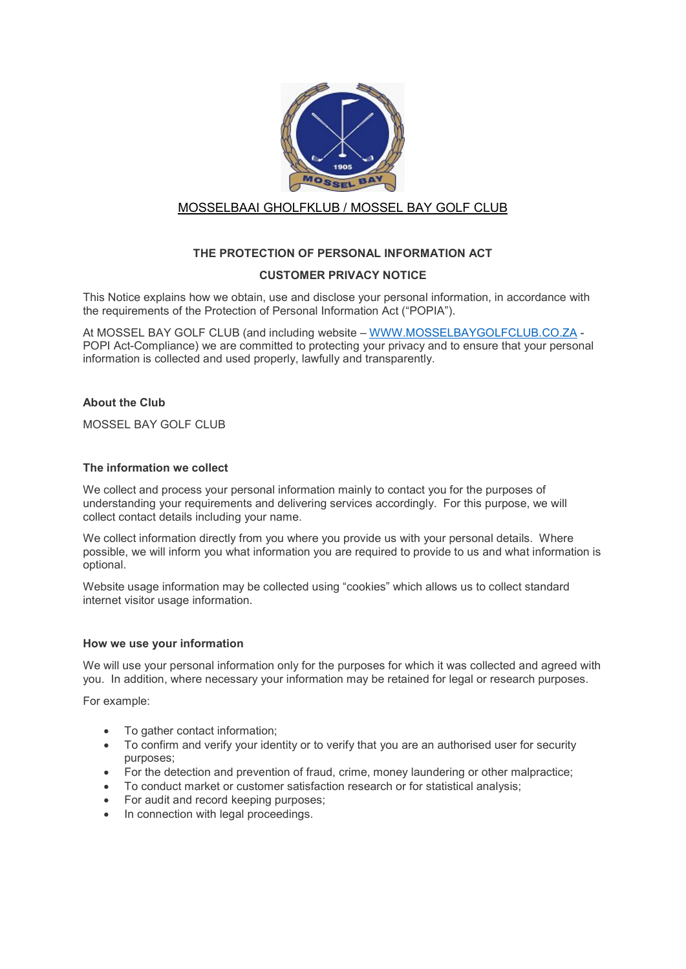

# MOSSELBAAI GHOLFKLUB / MOSSEL BAY GOLF CLUB

## THE PROTECTION OF PERSONAL INFORMATION ACT

## CUSTOMER PRIVACY NOTICE

This Notice explains how we obtain, use and disclose your personal information, in accordance with the requirements of the Protection of Personal Information Act ("POPIA").

At MOSSEL BAY GOLF CLUB (and including website – WWW.MOSSELBAYGOLFCLUB.CO.ZA - POPI Act-Compliance) we are committed to protecting your privacy and to ensure that your personal information is collected and used properly, lawfully and transparently.

## About the Club

MOSSEL BAY GOLF CLUB

#### The information we collect

We collect and process your personal information mainly to contact you for the purposes of understanding your requirements and delivering services accordingly. For this purpose, we will collect contact details including your name.

We collect information directly from you where you provide us with your personal details. Where possible, we will inform you what information you are required to provide to us and what information is optional.

Website usage information may be collected using "cookies" which allows us to collect standard internet visitor usage information.

#### How we use your information

We will use your personal information only for the purposes for which it was collected and agreed with you. In addition, where necessary your information may be retained for legal or research purposes.

For example:

- To gather contact information;
- To confirm and verify your identity or to verify that you are an authorised user for security purposes;
- For the detection and prevention of fraud, crime, money laundering or other malpractice;
- To conduct market or customer satisfaction research or for statistical analysis;
- For audit and record keeping purposes;
- In connection with legal proceedings.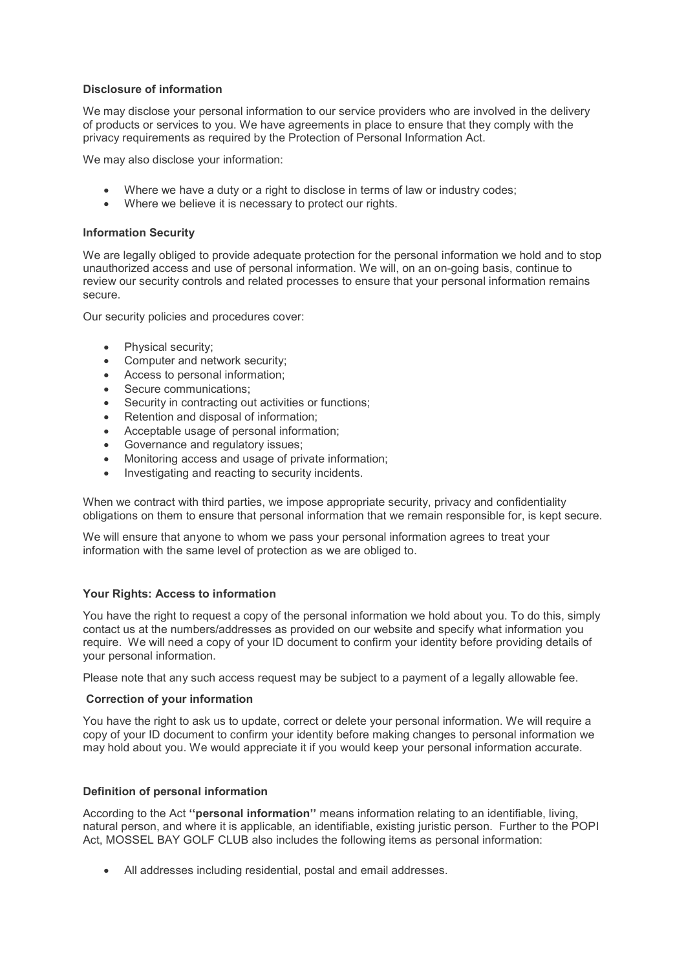## Disclosure of information

We may disclose your personal information to our service providers who are involved in the delivery of products or services to you. We have agreements in place to ensure that they comply with the privacy requirements as required by the Protection of Personal Information Act.

We may also disclose your information:

- Where we have a duty or a right to disclose in terms of law or industry codes;
- Where we believe it is necessary to protect our rights.

#### Information Security

We are legally obliged to provide adequate protection for the personal information we hold and to stop unauthorized access and use of personal information. We will, on an on-going basis, continue to review our security controls and related processes to ensure that your personal information remains secure.

Our security policies and procedures cover:

- Physical security;
- Computer and network security;
- Access to personal information;
- Secure communications:
- Security in contracting out activities or functions;
- Retention and disposal of information;
- Acceptable usage of personal information;
- Governance and regulatory issues;
- Monitoring access and usage of private information;
- Investigating and reacting to security incidents.

When we contract with third parties, we impose appropriate security, privacy and confidentiality obligations on them to ensure that personal information that we remain responsible for, is kept secure.

We will ensure that anyone to whom we pass your personal information agrees to treat your information with the same level of protection as we are obliged to.

## Your Rights: Access to information

You have the right to request a copy of the personal information we hold about you. To do this, simply contact us at the numbers/addresses as provided on our website and specify what information you require. We will need a copy of your ID document to confirm your identity before providing details of your personal information.

Please note that any such access request may be subject to a payment of a legally allowable fee.

#### Correction of your information

You have the right to ask us to update, correct or delete your personal information. We will require a copy of your ID document to confirm your identity before making changes to personal information we may hold about you. We would appreciate it if you would keep your personal information accurate.

## Definition of personal information

According to the Act "**personal information**" means information relating to an identifiable, living, natural person, and where it is applicable, an identifiable, existing juristic person. Further to the POPI Act, MOSSEL BAY GOLF CLUB also includes the following items as personal information:

All addresses including residential, postal and email addresses.